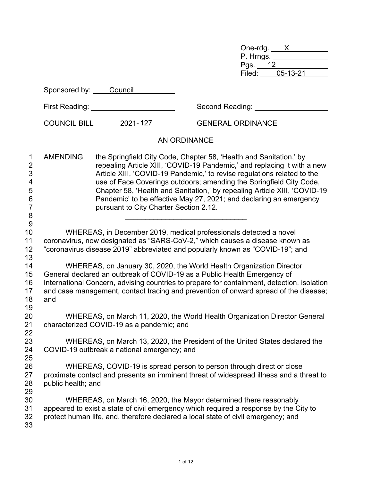| One-rdg.  |          |  |
|-----------|----------|--|
| P. Hrngs. |          |  |
| Pgs.      | 12       |  |
| Filed:    | 05-13-21 |  |

|                                                                          | Sponsored by: Council                                                                                                                                                                                                                                                                                                                                                                                                                                                                                                                                                               |                       |                                |  |  |  |
|--------------------------------------------------------------------------|-------------------------------------------------------------------------------------------------------------------------------------------------------------------------------------------------------------------------------------------------------------------------------------------------------------------------------------------------------------------------------------------------------------------------------------------------------------------------------------------------------------------------------------------------------------------------------------|-----------------------|--------------------------------|--|--|--|
|                                                                          |                                                                                                                                                                                                                                                                                                                                                                                                                                                                                                                                                                                     |                       | Second Reading: _____________  |  |  |  |
|                                                                          |                                                                                                                                                                                                                                                                                                                                                                                                                                                                                                                                                                                     | COUNCIL BILL 2021-127 | GENERAL ORDINANCE ____________ |  |  |  |
|                                                                          |                                                                                                                                                                                                                                                                                                                                                                                                                                                                                                                                                                                     |                       | AN ORDINANCE                   |  |  |  |
| 1<br>$\overline{2}$<br>3<br>4<br>5<br>$\,6$<br>$\overline{7}$<br>$\bf 8$ | <b>AMENDING</b><br>the Springfield City Code, Chapter 58, 'Health and Sanitation,' by<br>repealing Article XIII, 'COVID-19 Pandemic,' and replacing it with a new<br>Article XIII, 'COVID-19 Pandemic,' to revise regulations related to the<br>use of Face Coverings outdoors; amending the Springfield City Code,<br>Chapter 58, 'Health and Sanitation,' by repealing Article XIII, 'COVID-19<br>Pandemic' to be effective May 27, 2021; and declaring an emergency<br>pursuant to City Charter Section 2.12.                                                                    |                       |                                |  |  |  |
| $\overline{9}$<br>10<br>11<br>12<br>13                                   | WHEREAS, in December 2019, medical professionals detected a novel<br>coronavirus, now designated as "SARS-CoV-2," which causes a disease known as<br>"coronavirus disease 2019" abbreviated and popularly known as "COVID-19"; and<br>WHEREAS, on January 30, 2020, the World Health Organization Director<br>General declared an outbreak of COVID-19 as a Public Health Emergency of<br>International Concern, advising countries to prepare for containment, detection, isolation<br>and case management, contact tracing and prevention of onward spread of the disease;<br>and |                       |                                |  |  |  |
| 14<br>15<br>16<br>17<br>18<br>19                                         |                                                                                                                                                                                                                                                                                                                                                                                                                                                                                                                                                                                     |                       |                                |  |  |  |
| 20<br>21<br>22                                                           | WHEREAS, on March 11, 2020, the World Health Organization Director General<br>characterized COVID-19 as a pandemic; and                                                                                                                                                                                                                                                                                                                                                                                                                                                             |                       |                                |  |  |  |
| 23<br>24<br>25                                                           | WHEREAS, on March 13, 2020, the President of the United States declared the<br>COVID-19 outbreak a national emergency; and<br>WHEREAS, COVID-19 is spread person to person through direct or close<br>proximate contact and presents an imminent threat of widespread illness and a threat to<br>public health; and                                                                                                                                                                                                                                                                 |                       |                                |  |  |  |
| 26<br>27<br>28<br>29                                                     |                                                                                                                                                                                                                                                                                                                                                                                                                                                                                                                                                                                     |                       |                                |  |  |  |
| 30<br>31<br>32<br>33                                                     | WHEREAS, on March 16, 2020, the Mayor determined there reasonably<br>appeared to exist a state of civil emergency which required a response by the City to<br>protect human life, and, therefore declared a local state of civil emergency; and                                                                                                                                                                                                                                                                                                                                     |                       |                                |  |  |  |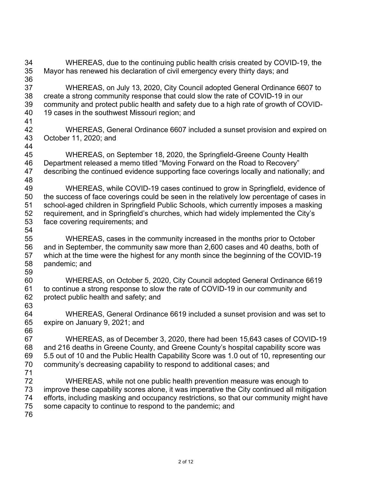WHEREAS, due to the continuing public health crisis created by COVID-19, the Mayor has renewed his declaration of civil emergency every thirty days; and WHEREAS, on July 13, 2020, City Council adopted General Ordinance 6607 to create a strong community response that could slow the rate of COVID-19 in our community and protect public health and safety due to a high rate of growth of COVID- 19 cases in the southwest Missouri region; and 42 WHEREAS, General Ordinance 6607 included a sunset provision and expired on 43 October 11. 2020: and October 11, 2020; and WHEREAS, on September 18, 2020, the Springfield-Greene County Health Department released a memo titled "Moving Forward on the Road to Recovery" describing the continued evidence supporting face coverings locally and nationally; and WHEREAS, while COVID-19 cases continued to grow in Springfield, evidence of the success of face coverings could be seen in the relatively low percentage of cases in school-aged children in Springfield Public Schools, which currently imposes a masking requirement, and in Springfield's churches, which had widely implemented the City's face covering requirements; and WHEREAS, cases in the community increased in the months prior to October and in September, the community saw more than 2,600 cases and 40 deaths, both of which at the time were the highest for any month since the beginning of the COVID-19 pandemic; and WHEREAS, on October 5, 2020, City Council adopted General Ordinance 6619 to continue a strong response to slow the rate of COVID-19 in our community and protect public health and safety; and WHEREAS, General Ordinance 6619 included a sunset provision and was set to expire on January 9, 2021; and WHEREAS, as of December 3, 2020, there had been 15,643 cases of COVID-19 and 216 deaths in Greene County, and Greene County's hospital capability score was 5.5 out of 10 and the Public Health Capability Score was 1.0 out of 10, representing our community's decreasing capability to respond to additional cases; and WHEREAS, while not one public health prevention measure was enough to improve these capability scores alone, it was imperative the City continued all mitigation efforts, including masking and occupancy restrictions, so that our community might have some capacity to continue to respond to the pandemic; and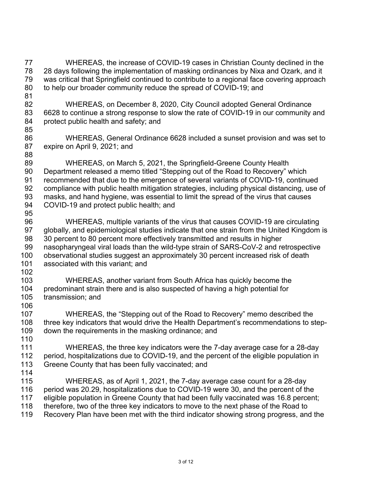WHEREAS, the increase of COVID-19 cases in Christian County declined in the 28 days following the implementation of masking ordinances by Nixa and Ozark, and it was critical that Springfield continued to contribute to a regional face covering approach to help our broader community reduce the spread of COVID-19; and WHEREAS, on December 8, 2020, City Council adopted General Ordinance 6628 to continue a strong response to slow the rate of COVID-19 in our community and protect public health and safety; and WHEREAS, General Ordinance 6628 included a sunset provision and was set to expire on April 9, 2021; and WHEREAS, on March 5, 2021, the Springfield-Greene County Health Department released a memo titled "Stepping out of the Road to Recovery" which recommended that due to the emergence of several variants of COVID-19, continued compliance with public health mitigation strategies, including physical distancing, use of masks, and hand hygiene, was essential to limit the spread of the virus that causes COVID-19 and protect public health; and WHEREAS, multiple variants of the virus that causes COVID-19 are circulating 97 globally, and epidemiological studies indicate that one strain from the United Kingdom is 30 percent to 80 percent more effectively transmitted and results in higher nasopharyngeal viral loads than the wild-type strain of SARS-CoV-2 and retrospective observational studies suggest an approximately 30 percent increased risk of death associated with this variant; and 103 WHEREAS, another variant from South Africa has quickly become the<br>104 predominant strain there and is also suspected of having a high potential for predominant strain there and is also suspected of having a high potential for transmission; and WHEREAS, the "Stepping out of the Road to Recovery" memo described the three key indicators that would drive the Health Department's recommendations to step- down the requirements in the masking ordinance; and 110<br>111 WHEREAS, the three key indicators were the 7-day average case for a 28-day period, hospitalizations due to COVID-19, and the percent of the eligible population in Greene County that has been fully vaccinated; and WHEREAS, as of April 1, 2021, the 7-day average case count for a 28-day 116 period was 20.29, hospitalizations due to COVID-19 were 30, and the percent of the<br>117 eligible population in Greene County that had been fully vaccinated was 16.8 percen eligible population in Greene County that had been fully vaccinated was 16.8 percent; 118 therefore, two of the three key indicators to move to the next phase of the Road to<br>119 Recovery Plan have been met with the third indicator showing strong progress, and Recovery Plan have been met with the third indicator showing strong progress, and the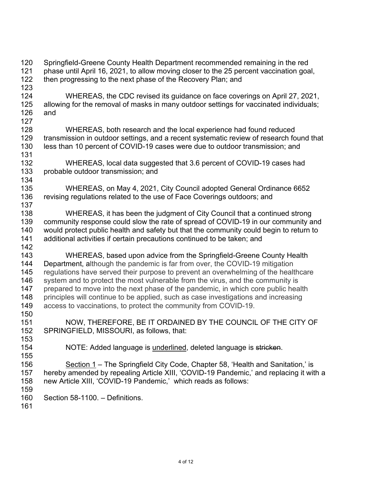120 Springfield-Greene County Health Department recommended remaining in the red<br>121 Depase until April 16, 2021, to allow moving closer to the 25 percent vaccination goa phase until April 16, 2021, to allow moving closer to the 25 percent vaccination goal, 122 then progressing to the next phase of the Recovery Plan; and 123<br>124 WHEREAS, the CDC revised its guidance on face coverings on April 27, 2021, allowing for the removal of masks in many outdoor settings for vaccinated individuals; and 128 WHEREAS, both research and the local experience had found reduced<br>129 transmission in outdoor settings, and a recent systematic review of research fo transmission in outdoor settings, and a recent systematic review of research found that less than 10 percent of COVID-19 cases were due to outdoor transmission; and WHEREAS, local data suggested that 3.6 percent of COVID-19 cases had probable outdoor transmission; and WHEREAS, on May 4, 2021, City Council adopted General Ordinance 6652 136 revising regulations related to the use of Face Coverings outdoors; and WHEREAS, it has been the judgment of City Council that a continued strong community response could slow the rate of spread of COVID-19 in our community and would protect public health and safety but that the community could begin to return to additional activities if certain precautions continued to be taken; and WHEREAS, based upon advice from the Springfield-Greene County Health Department, although the pandemic is far from over, the COVID-19 mitigation regulations have served their purpose to prevent an overwhelming of the healthcare 146 system and to protect the most vulnerable from the virus, and the community is<br>147 prepared to move into the next phase of the pandemic, in which core public hea prepared to move into the next phase of the pandemic, in which core public health 148 principles will continue to be applied, such as case investigations and increasing access to vaccinations, to protect the community from COVID-19. 151 NOW, THEREFORE, BE IT ORDAINED BY THE COUNCIL OF THE CITY OF 152 SPRINGFIELD. MISSOURI. as follows. that: SPRINGFIELD, MISSOURI, as follows, that: NOTE: Added language is underlined, deleted language is stricken. Section 1 – The Springfield City Code, Chapter 58, 'Health and Sanitation,' is hereby amended by repealing Article XIII, 'COVID-19 Pandemic,' and replacing it with a new Article XIII, 'COVID-19 Pandemic,' which reads as follows: 159<br>160 Section 58-1100. – Definitions.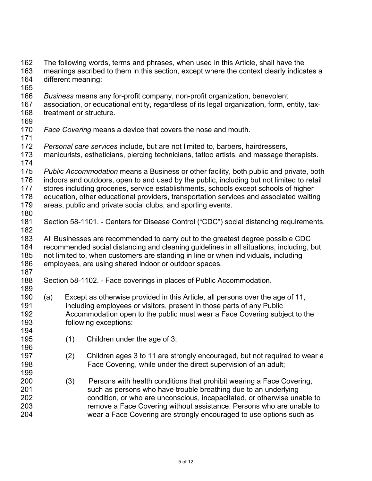162 The following words, terms and phrases, when used in this Article, shall have the 163 meanings ascribed to them in this section, except where the context clearly indica meanings ascribed to them in this section, except where the context clearly indicates a different meaning: 165<br>166 *Business* means any for-profit company, non-profit organization, benevolent association, or educational entity, regardless of its legal organization, form, entity, tax- treatment or structure. *Face Covering* means a device that covers the nose and mouth. *Personal care services* include, but are not limited to, barbers, hairdressers, manicurists, estheticians, piercing technicians, tattoo artists, and massage therapists. *Public Accommodation* means a Business or other facility, both public and private, both indoors and outdoors, open to and used by the public, including but not limited to retail stores including groceries, service establishments, schools except schools of higher 178 education, other educational providers, transportation services and associated waiting<br>179 areas, public and private social clubs, and sporting events. areas, public and private social clubs, and sporting events. Section 58-1101. - Centers for Disease Control ("CDC") social distancing requirements. All Businesses are recommended to carry out to the greatest degree possible CDC recommended social distancing and cleaning guidelines in all situations, including, but not limited to, when customers are standing in line or when individuals, including employees, are using shared indoor or outdoor spaces. Section 58-1102. - Face coverings in places of Public Accommodation. (a) Except as otherwise provided in this Article, all persons over the age of 11, including employees or visitors, present in those parts of any Public Accommodation open to the public must wear a Face Covering subject to the following exceptions: (1) Children under the age of 3; (2) Children ages 3 to 11 are strongly encouraged, but not required to wear a Face Covering, while under the direct supervision of an adult; (3) Persons with health conditions that prohibit wearing a Face Covering, such as persons who have trouble breathing due to an underlying condition, or who are unconscious, incapacitated, or otherwise unable to remove a Face Covering without assistance. Persons who are unable to wear a Face Covering are strongly encouraged to use options such as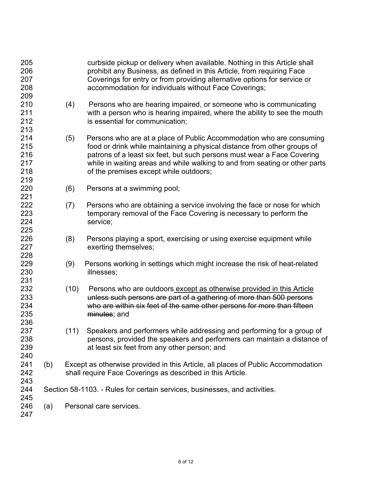| 205<br>206<br>207<br>208<br>209        |                                                                            |                         | curbside pickup or delivery when available. Nothing in this Article shall<br>prohibit any Business, as defined in this Article, from requiring Face<br>Coverings for entry or from providing alternative options for service or<br>accommodation for individuals without Face Coverings;                                                             |  |  |
|----------------------------------------|----------------------------------------------------------------------------|-------------------------|------------------------------------------------------------------------------------------------------------------------------------------------------------------------------------------------------------------------------------------------------------------------------------------------------------------------------------------------------|--|--|
| 210<br>211<br>212<br>213               |                                                                            | (4)                     | Persons who are hearing impaired, or someone who is communicating<br>with a person who is hearing impaired, where the ability to see the mouth<br>is essential for communication;                                                                                                                                                                    |  |  |
| 214<br>215<br>216<br>217<br>218<br>219 |                                                                            | (5)                     | Persons who are at a place of Public Accommodation who are consuming<br>food or drink while maintaining a physical distance from other groups of<br>patrons of a least six feet, but such persons must wear a Face Covering<br>while in waiting areas and while walking to and from seating or other parts<br>of the premises except while outdoors; |  |  |
| 220                                    |                                                                            | (6)                     | Persons at a swimming pool;                                                                                                                                                                                                                                                                                                                          |  |  |
| 221                                    |                                                                            |                         |                                                                                                                                                                                                                                                                                                                                                      |  |  |
| 222<br>223<br>224<br>225               |                                                                            | (7)                     | Persons who are obtaining a service involving the face or nose for which<br>temporary removal of the Face Covering is necessary to perform the<br>service;                                                                                                                                                                                           |  |  |
| 226<br>227<br>228                      |                                                                            | (8)                     | Persons playing a sport, exercising or using exercise equipment while<br>exerting themselves;                                                                                                                                                                                                                                                        |  |  |
| 229<br>230<br>231                      |                                                                            | (9)                     | Persons working in settings which might increase the risk of heat-related<br>illnesses;                                                                                                                                                                                                                                                              |  |  |
| 232<br>233<br>234<br>235<br>236        |                                                                            | (10)                    | Persons who are outdoors except as otherwise provided in this Article<br>unless such persons are part of a gathering of more than 500 persons<br>who are within six feet of the same other persons for more than fifteen<br>minutes; and                                                                                                             |  |  |
| 237<br>238<br>239<br>240               |                                                                            | (11)                    | Speakers and performers while addressing and performing for a group of<br>persons, provided the speakers and performers can maintain a distance of<br>at least six feet from any other person; and                                                                                                                                                   |  |  |
| 241<br>242<br>243                      | (b)                                                                        |                         | Except as otherwise provided in this Article, all places of Public Accommodation<br>shall require Face Coverings as described in this Article.                                                                                                                                                                                                       |  |  |
| 244                                    | Section 58-1103. - Rules for certain services, businesses, and activities. |                         |                                                                                                                                                                                                                                                                                                                                                      |  |  |
| 245<br>246<br>247                      | (a)                                                                        | Personal care services. |                                                                                                                                                                                                                                                                                                                                                      |  |  |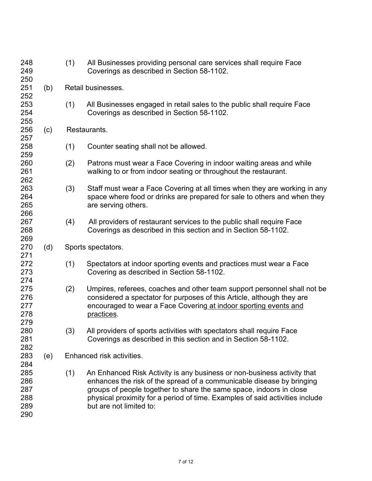| 248<br>249                             |     | (1)                       | All Businesses providing personal care services shall require Face<br>Coverings as described in Section 58-1102.                                                                                                                                                                                                                   |  |  |  |
|----------------------------------------|-----|---------------------------|------------------------------------------------------------------------------------------------------------------------------------------------------------------------------------------------------------------------------------------------------------------------------------------------------------------------------------|--|--|--|
| 250<br>251<br>252                      | (b) | Retail businesses.        |                                                                                                                                                                                                                                                                                                                                    |  |  |  |
| 253<br>254<br>255                      |     | (1)                       | All Businesses engaged in retail sales to the public shall require Face<br>Coverings as described in Section 58-1102.                                                                                                                                                                                                              |  |  |  |
| 256<br>257                             | (c) |                           | Restaurants.                                                                                                                                                                                                                                                                                                                       |  |  |  |
| 258<br>259                             |     | (1)                       | Counter seating shall not be allowed.                                                                                                                                                                                                                                                                                              |  |  |  |
| 260<br>261<br>262                      |     | (2)                       | Patrons must wear a Face Covering in indoor waiting areas and while<br>walking to or from indoor seating or throughout the restaurant.                                                                                                                                                                                             |  |  |  |
| 263<br>264<br>265<br>266               |     | (3)                       | Staff must wear a Face Covering at all times when they are working in any<br>space where food or drinks are prepared for sale to others and when they<br>are serving others.                                                                                                                                                       |  |  |  |
| 267<br>268<br>269                      |     | (4)                       | All providers of restaurant services to the public shall require Face<br>Coverings as described in this section and in Section 58-1102.                                                                                                                                                                                            |  |  |  |
| 270<br>271                             | (d) |                           | Sports spectators.                                                                                                                                                                                                                                                                                                                 |  |  |  |
| 272<br>273<br>274                      |     | (1)                       | Spectators at indoor sporting events and practices must wear a Face<br>Covering as described in Section 58-1102.                                                                                                                                                                                                                   |  |  |  |
| 275<br>276<br>277<br>278<br>279        |     | (2)                       | Umpires, referees, coaches and other team support personnel shall not be<br>considered a spectator for purposes of this Article, although they are<br>encouraged to wear a Face Covering at indoor sporting events and<br>practices.                                                                                               |  |  |  |
| 280<br>281<br>282                      |     | (3)                       | All providers of sports activities with spectators shall require Face<br>Coverings as described in this section and in Section 58-1102.                                                                                                                                                                                            |  |  |  |
| 283<br>284                             | (e) | Enhanced risk activities. |                                                                                                                                                                                                                                                                                                                                    |  |  |  |
| 285<br>286<br>287<br>288<br>289<br>290 |     | (1)                       | An Enhanced Risk Activity is any business or non-business activity that<br>enhances the risk of the spread of a communicable disease by bringing<br>groups of people together to share the same space, indoors in close<br>physical proximity for a period of time. Examples of said activities include<br>but are not limited to: |  |  |  |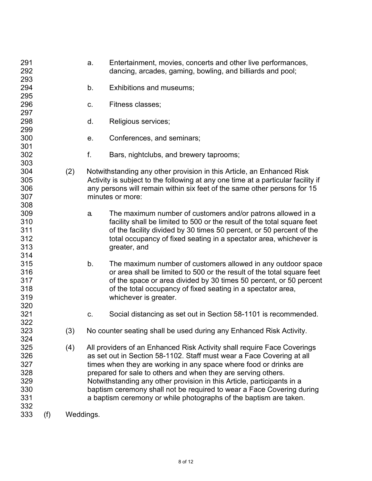| 291<br>292 |     |           | a. | Entertainment, movies, concerts and other live performances,<br>dancing, arcades, gaming, bowling, and billiards and pool;             |
|------------|-----|-----------|----|----------------------------------------------------------------------------------------------------------------------------------------|
| 293<br>294 |     |           | b. | Exhibitions and museums;                                                                                                               |
| 295        |     |           |    |                                                                                                                                        |
| 296        |     |           | C. | Fitness classes;                                                                                                                       |
| 297        |     |           |    |                                                                                                                                        |
| 298        |     |           | d. | Religious services;                                                                                                                    |
| 299        |     |           |    |                                                                                                                                        |
| 300        |     |           | е. | Conferences, and seminars;                                                                                                             |
| 301        |     |           |    |                                                                                                                                        |
| 302        |     |           | f. | Bars, nightclubs, and brewery taprooms;                                                                                                |
| 303        |     |           |    |                                                                                                                                        |
| 304        |     | (2)       |    | Notwithstanding any other provision in this Article, an Enhanced Risk                                                                  |
| 305        |     |           |    | Activity is subject to the following at any one time at a particular facility if                                                       |
| 306        |     |           |    | any persons will remain within six feet of the same other persons for 15                                                               |
| 307        |     |           |    | minutes or more:                                                                                                                       |
| 308        |     |           |    |                                                                                                                                        |
| 309        |     |           | a. | The maximum number of customers and/or patrons allowed in a                                                                            |
| 310        |     |           |    | facility shall be limited to 500 or the result of the total square feet                                                                |
| 311        |     |           |    | of the facility divided by 30 times 50 percent, or 50 percent of the                                                                   |
| 312        |     |           |    | total occupancy of fixed seating in a spectator area, whichever is                                                                     |
| 313        |     |           |    | greater, and                                                                                                                           |
| 314<br>315 |     |           |    |                                                                                                                                        |
| 316        |     |           | b. | The maximum number of customers allowed in any outdoor space<br>or area shall be limited to 500 or the result of the total square feet |
| 317        |     |           |    | of the space or area divided by 30 times 50 percent, or 50 percent                                                                     |
| 318        |     |           |    | of the total occupancy of fixed seating in a spectator area,                                                                           |
| 319        |     |           |    | whichever is greater.                                                                                                                  |
| 320        |     |           |    |                                                                                                                                        |
| 321        |     |           | C. | Social distancing as set out in Section 58-1101 is recommended.                                                                        |
| 322        |     |           |    |                                                                                                                                        |
| 323        |     | (3)       |    | No counter seating shall be used during any Enhanced Risk Activity.                                                                    |
| 324        |     |           |    |                                                                                                                                        |
| 325        |     | (4)       |    | All providers of an Enhanced Risk Activity shall require Face Coverings                                                                |
| 326        |     |           |    | as set out in Section 58-1102. Staff must wear a Face Covering at all                                                                  |
| 327        |     |           |    | times when they are working in any space where food or drinks are                                                                      |
| 328        |     |           |    | prepared for sale to others and when they are serving others.                                                                          |
| 329        |     |           |    | Notwithstanding any other provision in this Article, participants in a                                                                 |
| 330        |     |           |    | baptism ceremony shall not be required to wear a Face Covering during                                                                  |
| 331        |     |           |    | a baptism ceremony or while photographs of the baptism are taken.                                                                      |
| 332        |     |           |    |                                                                                                                                        |
| 333        | (f) | Weddings. |    |                                                                                                                                        |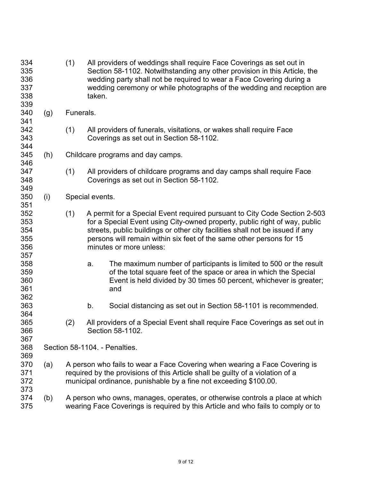| 334<br>335<br>336<br>337<br>338<br>339 |     | (1)                                                                                                                                                              | taken.                                                                                                                                                                                                                                                                                                                                      | All providers of weddings shall require Face Coverings as set out in<br>Section 58-1102. Notwithstanding any other provision in this Article, the<br>wedding party shall not be required to wear a Face Covering during a<br>wedding ceremony or while photographs of the wedding and reception are |  |  |
|----------------------------------------|-----|------------------------------------------------------------------------------------------------------------------------------------------------------------------|---------------------------------------------------------------------------------------------------------------------------------------------------------------------------------------------------------------------------------------------------------------------------------------------------------------------------------------------|-----------------------------------------------------------------------------------------------------------------------------------------------------------------------------------------------------------------------------------------------------------------------------------------------------|--|--|
| 340<br>341                             | (g) | Funerals.                                                                                                                                                        |                                                                                                                                                                                                                                                                                                                                             |                                                                                                                                                                                                                                                                                                     |  |  |
| 342<br>343<br>344                      |     | (1)                                                                                                                                                              |                                                                                                                                                                                                                                                                                                                                             | All providers of funerals, visitations, or wakes shall require Face<br>Coverings as set out in Section 58-1102.                                                                                                                                                                                     |  |  |
| 345<br>346                             | (h) |                                                                                                                                                                  | Childcare programs and day camps.                                                                                                                                                                                                                                                                                                           |                                                                                                                                                                                                                                                                                                     |  |  |
| 347<br>348<br>349                      |     | (1)                                                                                                                                                              |                                                                                                                                                                                                                                                                                                                                             | All providers of childcare programs and day camps shall require Face<br>Coverings as set out in Section 58-1102.                                                                                                                                                                                    |  |  |
| 350<br>351                             | (i) |                                                                                                                                                                  |                                                                                                                                                                                                                                                                                                                                             | Special events.                                                                                                                                                                                                                                                                                     |  |  |
| 352<br>353<br>354<br>355<br>356        |     | (1)                                                                                                                                                              | A permit for a Special Event required pursuant to City Code Section 2-503<br>for a Special Event using City-owned property, public right of way, public<br>streets, public buildings or other city facilities shall not be issued if any<br>persons will remain within six feet of the same other persons for 15<br>minutes or more unless: |                                                                                                                                                                                                                                                                                                     |  |  |
| 357<br>358<br>359<br>360<br>361<br>362 |     |                                                                                                                                                                  | a.                                                                                                                                                                                                                                                                                                                                          | The maximum number of participants is limited to 500 or the result<br>of the total square feet of the space or area in which the Special<br>Event is held divided by 30 times 50 percent, whichever is greater;<br>and                                                                              |  |  |
| 363<br>364                             |     |                                                                                                                                                                  | b.                                                                                                                                                                                                                                                                                                                                          | Social distancing as set out in Section 58-1101 is recommended.                                                                                                                                                                                                                                     |  |  |
| 365<br>366<br>367                      |     | (2)                                                                                                                                                              |                                                                                                                                                                                                                                                                                                                                             | All providers of a Special Event shall require Face Coverings as set out in<br>Section 58-1102.                                                                                                                                                                                                     |  |  |
| 368<br>369                             |     |                                                                                                                                                                  | Section 58-1104. - Penalties.<br>A person who fails to wear a Face Covering when wearing a Face Covering is<br>required by the provisions of this Article shall be guilty of a violation of a<br>municipal ordinance, punishable by a fine not exceeding \$100.00.                                                                          |                                                                                                                                                                                                                                                                                                     |  |  |
| 370<br>371<br>372<br>373               | (a) |                                                                                                                                                                  |                                                                                                                                                                                                                                                                                                                                             |                                                                                                                                                                                                                                                                                                     |  |  |
| 374<br>375                             | (b) | A person who owns, manages, operates, or otherwise controls a place at which<br>wearing Face Coverings is required by this Article and who fails to comply or to |                                                                                                                                                                                                                                                                                                                                             |                                                                                                                                                                                                                                                                                                     |  |  |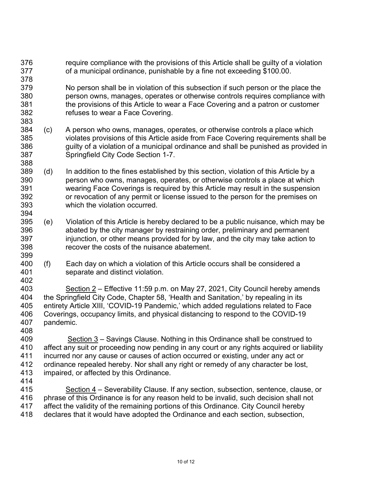require compliance with the provisions of this Article shall be guilty of a violation of a municipal ordinance, punishable by a fine not exceeding \$100.00. No person shall be in violation of this subsection if such person or the place the person owns, manages, operates or otherwise controls requires compliance with the provisions of this Article to wear a Face Covering and a patron or customer refuses to wear a Face Covering. (c) A person who owns, manages, operates, or otherwise controls a place which violates provisions of this Article aside from Face Covering requirements shall be guilty of a violation of a municipal ordinance and shall be punished as provided in Springfield City Code Section 1-7. (d) In addition to the fines established by this section, violation of this Article by a person who owns, manages, operates, or otherwise controls a place at which wearing Face Coverings is required by this Article may result in the suspension or revocation of any permit or license issued to the person for the premises on which the violation occurred. (e) Violation of this Article is hereby declared to be a public nuisance, which may be abated by the city manager by restraining order, preliminary and permanent 397 injunction, or other means provided for by law, and the city may take action to recover the costs of the nuisance abatement. (f) Each day on which a violation of this Article occurs shall be considered a separate and distinct violation. Section 2 – Effective 11:59 p.m. on May 27, 2021, City Council hereby amends the Springfield City Code, Chapter 58, 'Health and Sanitation,' by repealing in its entirety Article XIII, 'COVID-19 Pandemic,' which added regulations related to Face Coverings, occupancy limits, and physical distancing to respond to the COVID-19 pandemic. 409 Section – Savings Clause. Nothing in this Ordinance shall be construed to 410 affect any suit or proceeding now pending in any court or any rights acquired or liabi 410 affect any suit or proceeding now pending in any court or any rights acquired or liability<br>411 incurred nor any cause or causes of action occurred or existing, under any act or incurred nor any cause or causes of action occurred or existing, under any act or ordinance repealed hereby. Nor shall any right or remedy of any character be lost, impaired, or affected by this Ordinance. 415 Section 4 – Severability Clause. If any section, subsection, sentence, clause, or<br>416 phrase of this Ordinance is for any reason held to be invalid, such decision shall not phrase of this Ordinance is for any reason held to be invalid, such decision shall not 417 affect the validity of the remaining portions of this Ordinance. City Council hereby<br>418 declares that it would have adopted the Ordinance and each section, subsection. declares that it would have adopted the Ordinance and each section, subsection,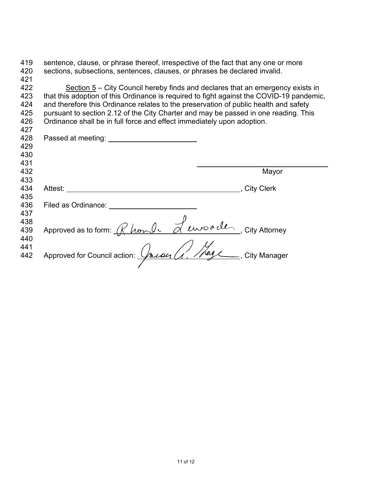| 419 | sentence, clause, or phrase thereof, irrespective of the fact that any one or more       |                                                                                |
|-----|------------------------------------------------------------------------------------------|--------------------------------------------------------------------------------|
| 420 | sections, subsections, sentences, clauses, or phrases be declared invalid.               |                                                                                |
| 421 |                                                                                          |                                                                                |
| 422 |                                                                                          | Section 5 – City Council hereby finds and declares that an emergency exists in |
| 423 | that this adoption of this Ordinance is required to fight against the COVID-19 pandemic, |                                                                                |
| 424 | and therefore this Ordinance relates to the preservation of public health and safety     |                                                                                |
| 425 | pursuant to section 2.12 of the City Charter and may be passed in one reading. This      |                                                                                |
| 426 | Ordinance shall be in full force and effect immediately upon adoption.                   |                                                                                |
| 427 |                                                                                          |                                                                                |
| 428 |                                                                                          |                                                                                |
| 429 |                                                                                          |                                                                                |
| 430 |                                                                                          |                                                                                |
| 431 |                                                                                          |                                                                                |
| 432 |                                                                                          | Mayor                                                                          |
| 433 |                                                                                          |                                                                                |
| 434 | Attest:                                                                                  | _, City Clerk                                                                  |
| 435 |                                                                                          |                                                                                |
| 436 | Filed as Ordinance:                                                                      |                                                                                |
| 437 |                                                                                          |                                                                                |
| 438 |                                                                                          |                                                                                |
| 439 | Approved as to form: Rhomle Lumpade, City Attorney                                       |                                                                                |
| 440 |                                                                                          |                                                                                |
| 441 |                                                                                          |                                                                                |
| 442 | Approved for Council action: <i>Julian (1. 1894</i> City Manager                         |                                                                                |
|     |                                                                                          |                                                                                |